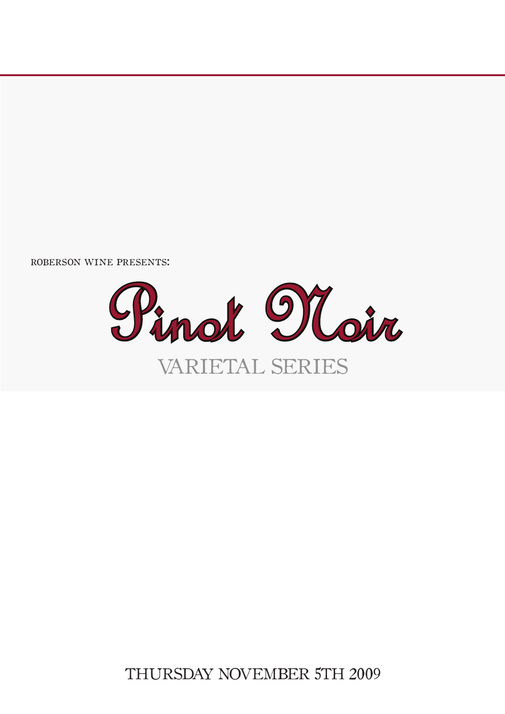roberson wine presents:



# THURSDAY NOVEMBER 5TH 2009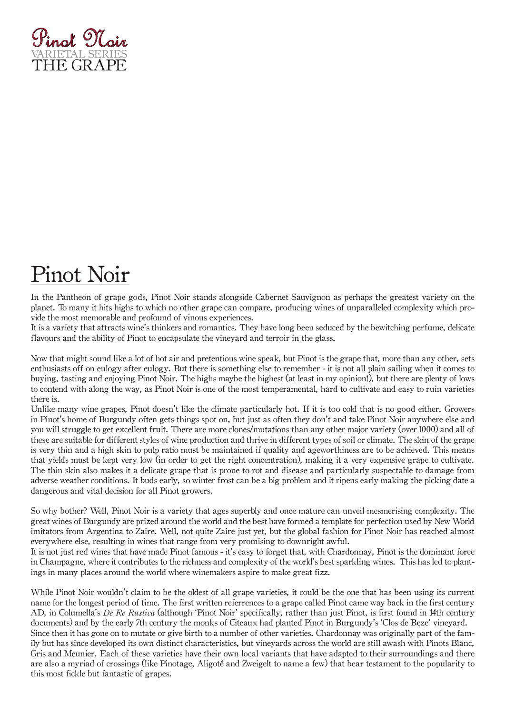

# Pinot Noir

In the Pantheon of grape gods, Pinot Noir stands alongside Cabernet Sauvignon as perhaps the greatest variety on the planet. To many it hits highs to which no other grape can compare, producing wines of unparalleled complexity which provide the most memorable and profound of vinous experiences.

It is a variety that attracts wine's thinkers and romantics. They have long been seduced by the bewitching perfume, delicate flavours and the ability of Pinot to encapsulate the vineyard and terroir in the glass.

Now that might sound like a lot of hot air and pretentious wine speak, but Pinot is the grape that, more than any other, sets enthusiasts off on eulogy after eulogy. But there is something else to remember - it is not all plain sailing when it comes to buying, tasting and enjoying Pinot Noir. The highs maybe the highest (at least in my opinion!), but there are plenty of lows to contend with along the way, as Pinot Noir is one of the most temperamental, hard to cultivate and easy to ruin varieties there is.

Unlike many wine grapes, Pinot doesn't like the climate particularly hot. If it is too cold that is no good either. Growers in Pinot's home of Burgundy often gets things spot on, but just as often they don't and take Pinot Noir anywhere else and you will struggle to get excellent fruit. There are more clones/mutations than any other major variety (over 1000) and all of these are suitable for different styles of wine production and thrive in different types of soil or climate. The skin of the grape is very thin and a high skin to pulp ratio must be maintained if quality and ageworthiness are to be achieved. This means that yields must be kept very low (in order to get the right concentration), making it a very expensive grape to cultivate. The thin skin also makes it a delicate grape that is prone to rot and disease and particularly suspectable to damage from adverse weather conditions. It buds early, so winter frost can be a big problem and it ripens early making the picking date a dangerous and vital decision for all Pinot growers.

So why bother? Well, Pinot Noir is a variety that ages superbly and once mature can unveil mesmerising complexity. The great wines of Burgundy are prized around the world and the best have formed a template for perfection used by New World imitators from Argentina to Zaire. Well, not quite Zaire just yet, but the global fashion for Pinot Noir has reached almost everywhere else, resulting in wines that range from very promising to downright awful.

It is not just red wines that have made Pinot famous - it's easy to forget that, with Chardonnay, Pinot is the dominant force in Champagne, where it contributes to the richness and complexity of the world's best sparkling wines. This has led to plantings in many places around the world where winemakers aspire to make great fizz.

While Pinot Noir wouldn't claim to be the oldest of all grape varieties, it could be the one that has been using its current name for the longest period of time. The first written referrences to a grape called Pinot came way back in the first century AD, in Columella's *De Re Rustica* (although 'Pinot Noir' specifically, rather than just Pinot, is first found in 14th century documents) and by the early 7th century the monks of Citeaux had planted Pinot in Burgundy's 'Clos de Beze' vineyard. Since then it has gone on to mutate or give birth to a number of other varieties. Chardonnay was originally part of the family but has since developed its own distinct characteristics, but vineyards across the world are still awash with Pinots Blanc, Gris and Meunier. Each of these varieties have their own local variants that have adapted to their surroundings and there are also a myriad of crossings (like Pinotage, Aligoté and Zweigelt to name a few) that bear testament to the popularity to this most fickle but fantastic of grapes.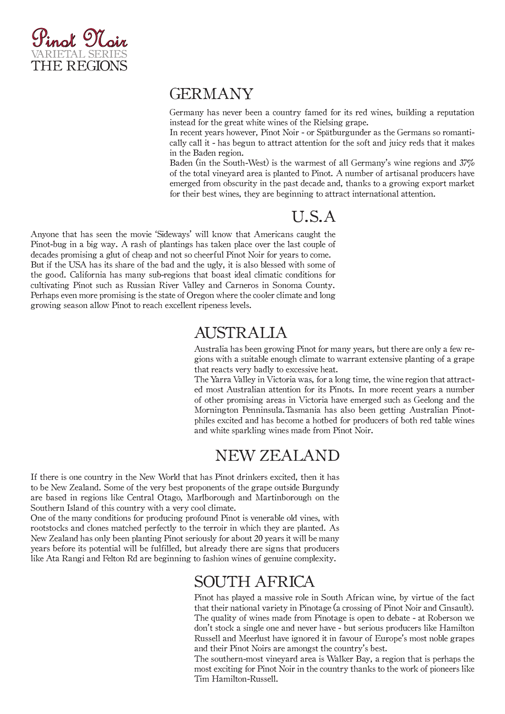

#### GERMANY

Germany has never been a country famed for its red wines, building a reputation instead for the great white wines of the Rielsing grape.

In recent years however, Pinot Noir - or Spätburgunder as the Germans so romantically call it - has begun to attract attention for the soft and juicy reds that it makes in the Baden region.

Baden (in the South-West) is the warmest of all Germany's wine regions and 37% of the total vineyard area is planted to Pinot. A number of artisanal producers have emerged from obscurity in the past decade and, thanks to a growing export market for their best wines, they are beginning to attract international attention.

### U.S.A

Anyone that has seen the movie 'Sideways' will know that Americans caught the Pinot-bug in a big way. A rash of plantings has taken place over the last couple of decades promising a glut of cheap and not so cheerful Pinot Noir for years to come. But if the USA has its share of the bad and the ugly, it is also blessed with some of the good. California has many sub-regions that boast ideal climatic conditions for cultivating Pinot such as Russian River Valley and Carneros in Sonoma County. Perhaps even more promising is the state of Oregon where the cooler climate and long growing season allow Pinot to reach excellent ripeness levels.

#### AUSTRALIA

Australia has been growing Pinot for many years, but there are only a few regions with a suitable enough climate to warrant extensive planting of a grape that reacts very badly to excessive heat.

The Yarra Valley in Victoria was, for a long time, the wine region that attracted most Australian attention for its Pinots. In more recent years a number of other promising areas in Victoria have emerged such as Geelong and the Mornington Penninsula.Tasmania has also been getting Australian Pinotphiles excited and has become a hotbed for producers of both red table wines and white sparkling wines made from Pinot Noir.

### NEW ZEALAND

If there is one country in the New World that has Pinot drinkers excited, then it has to be New Zealand. Some of the very best proponents of the grape outside Burgundy are based in regions like Central Otago, Marlborough and Martinborough on the Southern Island of this country with a very cool climate.

One of the many conditions for producing profound Pinot is venerable old vines, with rootstocks and clones matched perfectly to the terroir in which they are planted. As New Zealand has only been planting Pinot seriously for about 20 years it will be many years before its potential will be fulfilled, but already there are signs that producers like Ata Rangi and Felton Rd are beginning to fashion wines of genuine complexity.

#### SOUTH AFRICA

Pinot has played a massive role in South African wine, by virtue of the fact that their national variety in Pinotage (a crossing of Pinot Noir and Cinsault). The quality of wines made from Pinotage is open to debate - at Roberson we don't stock a single one and never have - but serious producers like Hamilton Russell and Meerlust have ignored it in favour of Europe's most noble grapes and their Pinot Noirs are amongst the country's best.

The southern-most vineyard area is Walker Bay, a region that is perhaps the most exciting for Pinot Noir in the country thanks to the work of pioneers like Tim Hamilton-Russell.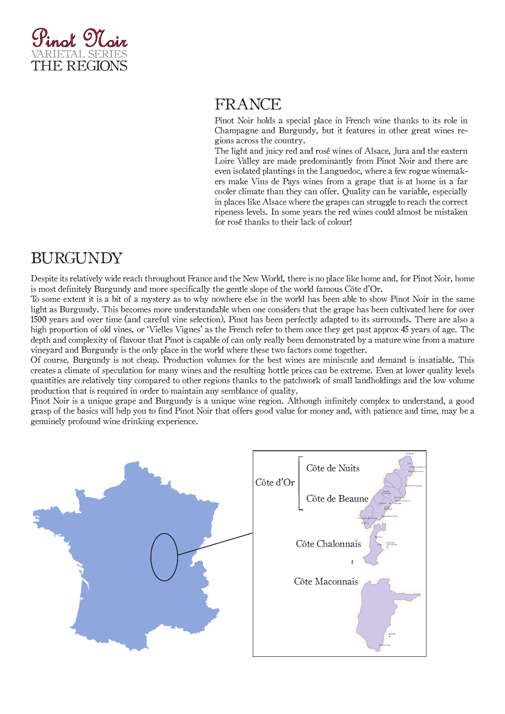

### FRANCE

Pinot Noir holds a special place in French wine thanks to its role in Champagne and Burgundy, but it features in other great wines regions across the country.

The light and juicy red and rosé wines of Alsace, Jura and the eastern Loire Valley are made predominantly from Pinot Noir and there are even isolated plantings in the Languedoc, where a few rogue winemakers make Vins de Pays wines from a grape that is at home in a far cooler climate than they can offer. Quality can be variable, especially in places like Alsace where the grapes can struggle to reach the correct ripeness levels. In some years the red wines could almost be mistaken for rosé thanks to their lack of colour!

## BURGUNDY

Despite its relatively wide reach throughout France and the New World, there is no place like home and, for Pinot Noir, home is most definitely Burgundy and more specifically the gentle slope of the world famous Côte d'Or.

To some extent it is a bit of a mystery as to why nowhere else in the world has been able to show Pinot Noir in the same light as Burgundy. This becomes more understandable when one considers that the grape has been cultivated here for over 1500 years and over time (and careful vine selection), Pinot has been perfectly adapted to its surrounds. There are also a high proportion of old vines, or 'Vielles Vignes' as the French refer to them once they get past approx 45 years of age. The depth and complexity of flavour that Pinot is capable of can only really been demonstrated by a mature wine from a mature vineyard and Burgundy is the only place in the world where these two factors come together.

Of course, Burgundy is not cheap. Production volumes for the best wines are miniscule and demand is insatiable. This creates a climate of speculation for many wines and the resulting bottle prices can be extreme. Even at lower quality levels quantities are relatively tiny compared to other regions thanks to the patchwork of small landholdings and the low volume production that is required in order to maintain any semblance of quality.

Pinot Noir is a unique grape and Burgundy is a unique wine region. Although infinitely complex to understand, a good grasp of the basics will help you to find Pinot Noir that offers good value for money and, with patience and time, may be a genuinely profound wine drinking experience.